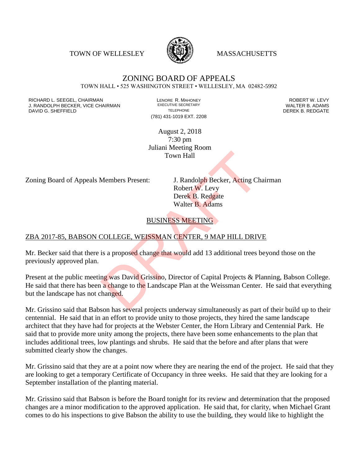TOWN OF WELLESLEY **WASSACHUSETTS** 



#### ZONING BOARD OF APPEALS TOWN HALL • 525 WASHINGTON STREET • WELLESLEY, MA 02482-5992

RICHARD L. SEEGEL, CHAIRMAN LENORE R. MAHONEY ROBERT W. LEVY J. RANDOLPH BECKER, VICE CHAIRMAN EXECUTIVE SECRETARY OF TELEPHONE DAVID G. SHEFFIELD **TELEPHONE** TELEPHONE TELEPHONE **TELEPHONE DEREK B. REDGATE** 

(781) 431-1019 EXT. 2208

August 2, 2018 7:30 pm Juliani Meeting Room Town Hall

Zoning Board of Appeals Members Present: J. Randolph Becker, Acting Chairman

Robert W. Levy Derek B. Redgate Walter B. Adams

#### BUSINESS MEETING

#### ZBA 2017-85, BABSON COLLEGE, WEISSMAN CENTER, 9 MAP HILL DRIVE

Mr. Becker said that there is a proposed change that would add 13 additional trees beyond those on the previously approved plan.

Present at the public meeting was David Grissino, Director of Capital Projects & Planning, Babson College. He said that there has been a change to the Landscape Plan at the Weissman Center. He said that everything but the landscape has not changed. Town Hall<br>
Members Present: J. Randolph Becker, Acting Ch<br>
Robert W. Levy<br>
Derek B. Redgate<br>
Walter B. Adams<br>
BUSINESS MEETING<br>
COLLEGE, WEISSMAN CENTER, 9 MAP HILL DRIV<br>
is a proposed change that would add 13 additional t

Mr. Grissino said that Babson has several projects underway simultaneously as part of their build up to their centennial. He said that in an effort to provide unity to those projects, they hired the same landscape architect that they have had for projects at the Webster Center, the Horn Library and Centennial Park. He said that to provide more unity among the projects, there have been some enhancements to the plan that includes additional trees, low plantings and shrubs. He said that the before and after plans that were submitted clearly show the changes.

Mr. Grissino said that they are at a point now where they are nearing the end of the project. He said that they are looking to get a temporary Certificate of Occupancy in three weeks. He said that they are looking for a September installation of the planting material.

Mr. Grissino said that Babson is before the Board tonight for its review and determination that the proposed changes are a minor modification to the approved application. He said that, for clarity, when Michael Grant comes to do his inspections to give Babson the ability to use the building, they would like to highlight the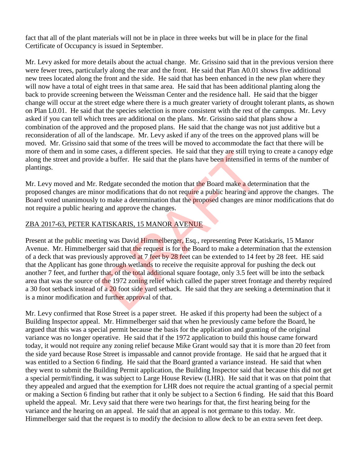fact that all of the plant materials will not be in place in three weeks but will be in place for the final Certificate of Occupancy is issued in September.

Mr. Levy asked for more details about the actual change. Mr. Grissino said that in the previous version there were fewer trees, particularly along the rear and the front. He said that Plan A0.01 shows five additional new trees located along the front and the side. He said that has been enhanced in the new plan where they will now have a total of eight trees in that same area. He said that has been additional planting along the back to provide screening between the Weissman Center and the residence hall. He said that the bigger change will occur at the street edge where there is a much greater variety of drought tolerant plants, as shown on Plan L0.01. He said that the species selection is more consistent with the rest of the campus. Mr. Levy asked if you can tell which trees are additional on the plans. Mr. Grissino said that plans show a combination of the approved and the proposed plans. He said that the change was not just additive but a reconsideration of all of the landscape. Mr. Levy asked if any of the trees on the approved plans will be moved. Mr. Grissino said that some of the trees will be moved to accommodate the fact that there will be more of them and in some cases, a different species. He said that they are still trying to create a canopy edge along the street and provide a buffer. He said that the plans have been intensified in terms of the number of plantings.

Mr. Levy moved and Mr. Redgate seconded the motion that the Board make a determination that the proposed changes are minor modifications that do not require a public hearing and approve the changes. The Board voted unanimously to make a determination that the proposed changes are minor modifications that do not require a public hearing and approve the changes.

## ZBA 2017-63, PETER KATISKARIS, 15 MANOR AVENUE

Present at the public meeting was David Himmelberger, Esq., representing Peter Katiskaris, 15 Manor Avenue. Mr. Himmelberger said that the request is for the Board to make a determination that the extension of a deck that was previously approved at 7 feet by 28 feet can be extended to 14 feet by 28 feet. HE said that the Applicant has gone through wetlands to receive the requisite approval for pushing the deck out another 7 feet, and further that, of the total additional square footage, only 3.5 feet will be into the setback area that was the source of the 1972 zoning relief which called the paper street frontage and thereby required a 30 foot setback instead of a 20 foot side yard setback. He said that they are seeking a determination that it is a minor modification and further approval of that. cases, a different species. He said that they are still tryint<br>
e a buffer. He said that the plans have been intensified in<br>
Redgate seconded the motion that the Board make a deter<br>
or modifications that do not require a p

Mr. Levy confirmed that Rose Street is a paper street. He asked if this property had been the subject of a Building Inspector appeal. Mr. Himmelberger said that when he previously came before the Board, he argued that this was a special permit because the basis for the application and granting of the original variance was no longer operative. He said that if the 1972 application to build this house came forward today, it would not require any zoning relief because Mike Grant would say that it is more than 20 feet from the side yard because Rose Street is impassable and cannot provide frontage. He said that he argued that it was entitled to a Section 6 finding. He said that the Board granted a variance instead. He said that when they went to submit the Building Permit application, the Building Inspector said that because this did not get a special permit/finding, it was subject to Large House Review (LHR). He said that it was on that point that they appealed and argued that the exemption for LHR does not require the actual granting of a special permit or making a Section 6 finding but rather that it only be subject to a Section 6 finding. He said that this Board upheld the appeal. Mr. Levy said that there were two hearings for that, the first hearing being for the variance and the hearing on an appeal. He said that an appeal is not germane to this today. Mr. Himmelberger said that the request is to modify the decision to allow deck to be an extra seven feet deep.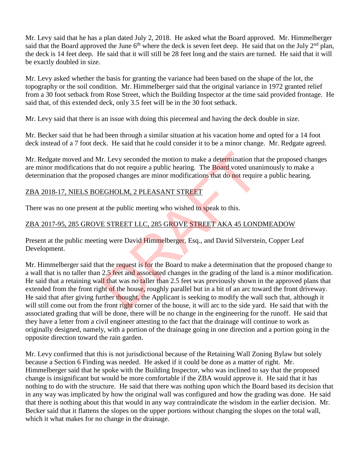Mr. Levy said that he has a plan dated July 2, 2018. He asked what the Board approved. Mr. Himmelberger said that the Board approved the June  $6<sup>th</sup>$  where the deck is seven feet deep. He said that on the July  $2<sup>nd</sup>$  plan, the deck is 14 feet deep. He said that it will still be 28 feet long and the stairs are turned. He said that it will be exactly doubled in size.

Mr. Levy asked whether the basis for granting the variance had been based on the shape of the lot, the topography or the soil condition. Mr. Himmelberger said that the original variance in 1972 granted relief from a 30 foot setback from Rose Street, which the Building Inspector at the time said provided frontage. He said that, of this extended deck, only 3.5 feet will be in the 30 foot setback.

Mr. Levy said that there is an issue with doing this piecemeal and having the deck double in size.

Mr. Becker said that he had been through a similar situation at his vacation home and opted for a 14 foot deck instead of a 7 foot deck. He said that he could consider it to be a minor change. Mr. Redgate agreed.

Mr. Redgate moved and Mr. Levy seconded the motion to make a determination that the proposed changes are minor modifications that do not require a public hearing. The Board voted unanimously to make a determination that the proposed changes are minor modifications that do not require a public hearing.

# ZBA 2018-17, NIELS BOEGHOLM, 2 PLEASANT STREET

There was no one present at the public meeting who wished to speak to this.

# ZBA 2017-95, 285 GROVE STREET LLC, 285 GROVE STREET AKA 45 LONDMEADOW

Present at the public meeting were David Himmelberger, Esq., and David Silverstein, Copper Leaf Development.

Mr. Himmelberger said that the request is for the Board to make a determination that the proposed change to a wall that is no taller than 2.5 feet and associated changes in the grading of the land is a minor modification. He said that a retaining wall that was no taller than 2.5 feet was previously shown in the approved plans that extended from the front right of the house, roughly parallel but in a bit of an arc toward the front driveway. He said that after giving further thought, the Applicant is seeking to modify the wall such that, although it will still come out from the front right corner of the house, it will arc to the side yard. He said that with the associated grading that will be done, there will be no change in the engineering for the runoff. He said that they have a letter from a civil engineer attesting to the fact that the drainage will continue to work as originally designed, namely, with a portion of the drainage going in one direction and a portion going in the opposite direction toward the rain garden. Ir. Levy seconded the motion to make a determination that do not require a public hearing. The Board voted unar<br>oosed changes are minor modifications that do not require<br>EGHOLM, 2 PLEASANT STREET<br>at the public meeting who

Mr. Levy confirmed that this is not jurisdictional because of the Retaining Wall Zoning Bylaw but solely because a Section 6 Finding was needed. He asked if it could be done as a matter of right. Mr. Himmelberger said that he spoke with the Building Inspector, who was inclined to say that the proposed change is insignificant but would be more comfortable if the ZBA would approve it. He said that it has nothing to do with the structure. He said that there was nothing upon which the Board based its decision that in any way was implicated by how the original wall was configured and how the grading was done. He said that there is nothing about this that would in any way contraindicate the wisdom in the earlier decision. Mr. Becker said that it flattens the slopes on the upper portions without changing the slopes on the total wall, which it what makes for no change in the drainage.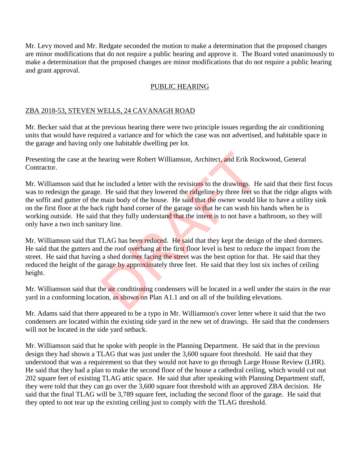Mr. Levy moved and Mr. Redgate seconded the motion to make a determination that the proposed changes are minor modifications that do not require a public hearing and approve it. The Board voted unanimously to make a determination that the proposed changes are minor modifications that do not require a public hearing and grant approval.

### PUBLIC HEARING

### ZBA 2018-53, STEVEN WELLS, 24 CAVANAGH ROAD

Mr. Becker said that at the previous hearing there were two principle issues regarding the air conditioning units that would have required a variance and for which the case was not advertised, and habitable space in the garage and having only one habitable dwelling per lot.

Presenting the case at the hearing were Robert Williamson, Architect, and Erik Rockwood, General Contractor.

Mr. Williamson said that he included a letter with the revisions to the drawings. He said that their first focus was to redesign the garage. He said that they lowered the ridgeline by three feet so that the ridge aligns with the soffit and gutter of the main body of the house. He said that the owner would like to have a utility sink on the first floor at the back right hand corner of the garage so that he can wash his hands when he is working outside. He said that they fully understand that the intent is to not have a bathroom, so they will only have a two inch sanitary line. nearing were Robert Williamson, Architect, and Erik Roc<br>
included a letter with the revisions to the drawings. He<br>
I. He said that they lowered the **ridgeline** by three feet so<br>
main body of the house. He said that the own

Mr. Williamson said that TLAG has been reduced. He said that they kept the design of the shed dormers. He said that the gutters and the roof overhang at the first floor level is best to reduce the impact from the street. He said that having a shed dormer facing the street was the best option for that. He said that they reduced the height of the garage by approximately three feet. He said that they lost six inches of ceiling height.

Mr. Williamson said that the **air** conditioning condensers will be located in a well under the stairs in the rear yard in a conforming location, as shown on Plan A1.1 and on all of the building elevations.

Mr. Adams said that there appeared to be a typo in Mr. Williamson's cover letter where it said that the two condensers are located within the existing side yard in the new set of drawings. He said that the condensers will not be located in the side yard setback.

Mr. Williamson said that he spoke with people in the Planning Department. He said that in the previous design they had shown a TLAG that was just under the 3,600 square foot threshold. He said that they understood that was a requirement so that they would not have to go through Large House Review (LHR). He said that they had a plan to make the second floor of the house a cathedral ceiling, which would cut out 202 square feet of existing TLAG attic space. He said that after speaking with Planning Department staff, they were told that they can go over the 3,600 square foot threshold with an approved ZBA decision. He said that the final TLAG will be 3,789 square feet, including the second floor of the garage. He said that they opted to not tear up the existing ceiling just to comply with the TLAG threshold.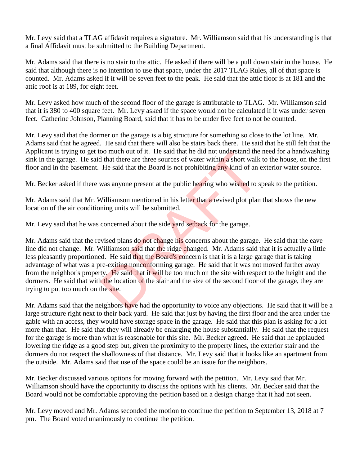Mr. Levy said that a TLAG affidavit requires a signature. Mr. Williamson said that his understanding is that a final Affidavit must be submitted to the Building Department.

Mr. Adams said that there is no stair to the attic. He asked if there will be a pull down stair in the house. He said that although there is no intention to use that space, under the 2017 TLAG Rules, all of that space is counted. Mr. Adams asked if it will be seven feet to the peak. He said that the attic floor is at 181 and the attic roof is at 189, for eight feet.

Mr. Levy asked how much of the second floor of the garage is attributable to TLAG. Mr. Williamson said that it is 380 to 400 square feet. Mr. Levy asked if the space would not be calculated if it was under seven feet. Catherine Johnson, Planning Board, said that it has to be under five feet to not be counted.

Mr. Levy said that the dormer on the garage is a big structure for something so close to the lot line. Mr. Adams said that he agreed. He said that there will also be stairs back there. He said that he still felt that the Applicant is trying to get too much out of it. He said that he did not understand the need for a handwashing sink in the garage. He said that there are three sources of water within a short walk to the house, on the first floor and in the basement. He said that the Board is not prohibiting any kind of an exterior water source.

Mr. Becker asked if there was anyone present at the public hearing who wished to speak to the petition.

Mr. Adams said that Mr. Williamson mentioned in his letter that a revised plot plan that shows the new location of the air conditioning units will be submitted.

Mr. Levy said that he was concerned about the side yard setback for the garage.

Mr. Adams said that the revised plans do not change his concerns about the garage. He said that the eave line did not change. Mr. Williamson said that the ridge changed. Mr. Adams said that it is actually a little less pleasantly proportioned. He said that the Board's concern is that it is a large garage that is taking advantage of what was a pre-exiting nonconforming garage. He said that it was not moved further away from the neighbor's property. He said that it will be too much on the site with respect to the height and the dormers. He said that with the location of the stair and the size of the second floor of the garage, they are trying to put too much on the site. be the said that the poards are stated the single<br>single original the said that there are three sources of water within a short walk<br>He said that the Board is not prohibiting any kind of an<br>was anyone present at the public

Mr. Adams said that the neighbors have had the opportunity to voice any objections. He said that it will be a large structure right next to their back yard. He said that just by having the first floor and the area under the gable with an access, they would have storage space in the garage. He said that this plan is asking for a lot more than that. He said that they will already be enlarging the house substantially. He said that the request for the garage is more than what is reasonable for this site. Mr. Becker agreed. He said that he applauded lowering the ridge as a good step but, given the proximity to the property lines, the exterior stair and the dormers do not respect the shallowness of that distance. Mr. Levy said that it looks like an apartment from the outside. Mr. Adams said that use of the space could be an issue for the neighbors.

Mr. Becker discussed various options for moving forward with the petition. Mr. Levy said that Mr. Williamson should have the opportunity to discuss the options with his clients. Mr. Becker said that the Board would not be comfortable approving the petition based on a design change that it had not seen.

Mr. Levy moved and Mr. Adams seconded the motion to continue the petition to September 13, 2018 at 7 pm. The Board voted unanimously to continue the petition.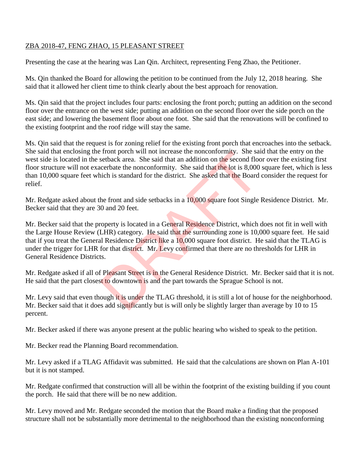### ZBA 2018-47, FENG ZHAO, 15 PLEASANT STREET

Presenting the case at the hearing was Lan Qin. Architect, representing Feng Zhao, the Petitioner.

Ms. Qin thanked the Board for allowing the petition to be continued from the July 12, 2018 hearing. She said that it allowed her client time to think clearly about the best approach for renovation.

Ms. Qin said that the project includes four parts: enclosing the front porch; putting an addition on the second floor over the entrance on the west side; putting an addition on the second floor over the side porch on the east side; and lowering the basement floor about one foot. She said that the renovations will be confined to the existing footprint and the roof ridge will stay the same.

Ms. Qin said that the request is for zoning relief for the existing front porch that encroaches into the setback. She said that enclosing the front porch will not increase the nonconformity. She said that the entry on the west side is located in the setback area. She said that an addition on the second floor over the existing first floor structure will not exacerbate the nonconformity. She said that the lot is 8,000 square feet, which is less than 10,000 square feet which is standard for the district. She asked that the Board consider the request for relief.

Mr. Redgate asked about the front and side setbacks in a 10,000 square foot Single Residence District. Mr. Becker said that they are 30 and 20 feet.

Mr. Becker said that the property is located in a General Residence District, which does not fit in well with the Large House Review (LHR) category. He said that the surrounding zone is 10,000 square feet. He said that if you treat the General Residence District like a 10,000 square foot district. He said that the TLAG is under the trigger for LHR for that district. Mr. Levy confirmed that there are no thresholds for LHR in General Residence Districts. Front porch will not increase the nonconformity. She sases<br>thack area. She said that an addition on the second flocerbate the nonconformity. She said that the lot is 8,000<br>tich is standard for the district. She asked that

Mr. Redgate asked if all of Pleasant Street is in the General Residence District. Mr. Becker said that it is not. He said that the part closest to downtown is and the part towards the Sprague School is not.

Mr. Levy said that even though it is under the TLAG threshold, it is still a lot of house for the neighborhood. Mr. Becker said that it does add significantly but is will only be slightly larger than average by 10 to 15 percent.

Mr. Becker asked if there was anyone present at the public hearing who wished to speak to the petition.

Mr. Becker read the Planning Board recommendation.

Mr. Levy asked if a TLAG Affidavit was submitted. He said that the calculations are shown on Plan A-101 but it is not stamped.

Mr. Redgate confirmed that construction will all be within the footprint of the existing building if you count the porch. He said that there will be no new addition.

Mr. Levy moved and Mr. Redgate seconded the motion that the Board make a finding that the proposed structure shall not be substantially more detrimental to the neighborhood than the existing nonconforming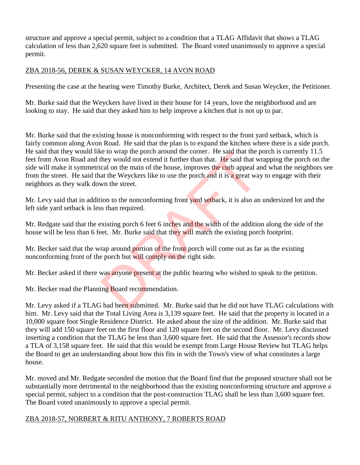structure and approve a special permit, subject to a condition that a TLAG Affidavit that shows a TLAG calculation of less than 2,620 square feet is submitted. The Board voted unanimously to approve a special permit.

# ZBA 2018-56, DEREK & SUSAN WEYCKER, 14 AVON ROAD

Presenting the case at the hearing were Timothy Burke, Architect, Derek and Susan Weycker, the Petitioner.

Mr. Burke said that the Weyckers have lived in their house for 14 years, love the neighborhood and are looking to stay. He said that they asked him to help improve a kitchen that is not up to par.

Mr. Burke said that the existing house is nonconforming with respect to the front yard setback, which is fairly common along Avon Road. He said that the plan is to expand the kitchen where there is a side porch. He said that they would like to wrap the porch around the corner. He said that the porch is currently 11.5 feet from Avon Road and they would not extend it further than that. He said that wrapping the porch on the side will make it symmetrical on the main of the house, improves the curb appeal and what the neighbors see from the street. He said that the Weyckers like to use the porch and it is a great way to engage with their neighbors as they walk down the street. The said that the procedure of the said that the procedure of the would not extend it further than that. He said that we call on the main of the house, improves the curb appeal as at the Weyckers like to use the porch and

Mr. Levy said that in addition to the nonconforming front yard setback, it is also an undersized lot and the left side yard setback is less than required.

Mr. Redgate said that the existing porch 6 feet 6 inches and the width of the addition along the side of the house will be less than 6 feet. Mr. Burke said that they will match the existing porch footprint.

Mr. Becker said that the wrap around portion of the front porch will come out as far as the existing nonconforming front of the porch but will comply on the right side.

Mr. Becker asked if there was anyone present at the public hearing who wished to speak to the petition.

Mr. Becker read the Planning Board recommendation.

Mr. Levy asked if a TLAG had been submitted. Mr. Burke said that he did not have TLAG calculations with him. Mr. Levy said that the Total Living Area is 3,139 square feet. He said that the property is located in a 10,000 square foot Single Residence District. He asked about the size of the addition. Mr. Burke said that they will add 150 square feet on the first floor and 120 square feet on the second floor. Mr. Levy discussed inserting a condition that the TLAG be less than 3,600 square feet. He said that the Assessor's records show a TLA of 3,158 square feet. He said that this would be exempt from Large House Review but TLAG helps the Board to get an understanding about how this fits in with the Town's view of what constitutes a large house.

Mr. moved and Mr. Redgate seconded the motion that the Board find that the proposed structure shall not be substantially more detrimental to the neighborhood than the existing nonconforming structure and approve a special permit, subject to a condition that the post-construction TLAG shall be less than 3,600 square feet. The Board voted unanimously to approve a special permit.

## ZBA 2018-57, NORBERT & RITU ANTHONY, 7 ROBERTS ROAD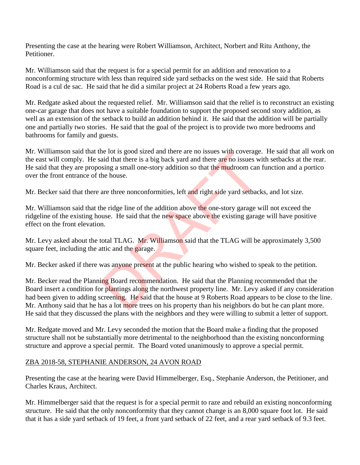Presenting the case at the hearing were Robert Williamson, Architect, Norbert and Ritu Anthony, the Petitioner.

Mr. Williamson said that the request is for a special permit for an addition and renovation to a nonconforming structure with less than required side yard setbacks on the west side. He said that Roberts Road is a cul de sac. He said that he did a similar project at 24 Roberts Road a few years ago.

Mr. Redgate asked about the requested relief. Mr. Williamson said that the relief is to reconstruct an existing one-car garage that does not have a suitable foundation to support the proposed second story addition, as well as an extension of the setback to build an addition behind it. He said that the addition will be partially one and partially two stories. He said that the goal of the project is to provide two more bedrooms and bathrooms for family and guests.

Mr. Williamson said that the lot is good sized and there are no issues with coverage. He said that all work on the east will comply. He said that there is a big back yard and there are no issues with setbacks at the rear. He said that they are proposing a small one-story addition so that the mudroom can function and a portico over the front entrance of the house.

Mr. Becker said that there are three nonconformities, left and right side yard setbacks, and lot size.

Mr. Williamson said that the ridge line of the addition above the one-story garage will not exceed the ridgeline of the existing house. He said that the new space above the existing garage will have positive effect on the front elevation.

Mr. Levy asked about the total TLAG. Mr. Williamson said that the TLAG will be approximately 3,500 square feet, including the attic and the garage.

Mr. Becker asked if there was anyone present at the public hearing who wished to speak to the petition.

Mr. Becker read the Planning Board recommendation. He said that the Planning recommended that the Board insert a condition for plantings along the northwest property line. Mr. Levy asked if any consideration had been given to adding screening. He said that the house at 9 Roberts Road appears to be close to the line. Mr. Anthony said that he has a lot more trees on his property than his neighbors do but he can plant more. He said that they discussed the plans with the neighbors and they were willing to submit a letter of support. the lot is good sized and there are no issues with coverage<br>aid that there is a big back yard and there are no issues w<br>sing a small one-story addition so that the mudroom can<br>the house.<br>are three nonconformities, left and

Mr. Redgate moved and Mr. Levy seconded the motion that the Board make a finding that the proposed structure shall not be substantially more detrimental to the neighborhood than the existing nonconforming structure and approve a special permit. The Board voted unanimously to approve a special permit.

## ZBA 2018-58, STEPHANIE ANDERSON, 24 AVON ROAD

Presenting the case at the hearing were David Himmelberger, Esq., Stephanie Anderson, the Petitioner, and Charles Kraus, Architect.

Mr. Himmelberger said that the request is for a special permit to raze and rebuild an existing nonconforming structure. He said that the only nonconformity that they cannot change is an 8,000 square foot lot. He said that it has a side yard setback of 19 feet, a front yard setback of 22 feet, and a rear yard setback of 9.3 feet.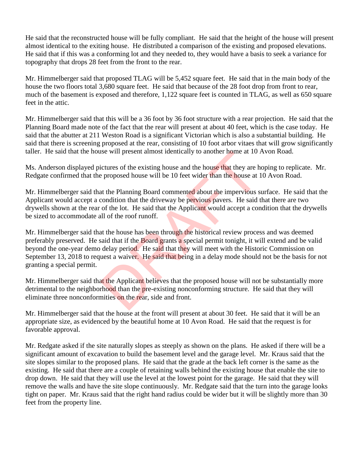He said that the reconstructed house will be fully compliant. He said that the height of the house will present almost identical to the exiting house. He distributed a comparison of the existing and proposed elevations. He said that if this was a conforming lot and they needed to, they would have a basis to seek a variance for topography that drops 28 feet from the front to the rear.

Mr. Himmelberger said that proposed TLAG will be 5,452 square feet. He said that in the main body of the house the two floors total 3,680 square feet. He said that because of the 28 foot drop from front to rear, much of the basement is exposed and therefore, 1,122 square feet is counted in TLAG, as well as 650 square feet in the attic.

Mr. Himmelberger said that this will be a 36 foot by 36 foot structure with a rear projection. He said that the Planning Board made note of the fact that the rear will present at about 40 feet, which is the case today. He said that the abutter at 211 Weston Road is a significant Victorian which is also a substantial building. He said that there is screening proposed at the rear, consisting of 10 foot arbor vitaes that will grow significantly taller. He said that the house will present almost identically to another home at 10 Avon Road.

Ms. Anderson displayed pictures of the existing house and the house that they are hoping to replicate. Mr. Redgate confirmed that the proposed house will be 10 feet wider than the house at 10 Avon Road.

Mr. Himmelberger said that the Planning Board commented about the impervious surface. He said that the Applicant would accept a condition that the driveway be pervious pavers. He said that there are two drywells shown at the rear of the lot. He said that the Applicant would accept a condition that the drywells be sized to accommodate all of the roof runoff.

Mr. Himmelberger said that the house has been through the historical review process and was deemed preferably preserved. He said that if the Board grants a special permit tonight, it will extend and be valid beyond the one-year demo delay period. He said that they will meet with the Historic Commission on September 13, 2018 to request a waiver. He said that being in a delay mode should not be the basis for not granting a special permit. is will present almost identically to another nome at 10.<br>
ictures of the existing house and the house that they are h<br>
e proposed house will be 10 feet wider than the house at a<br>
at the Planning Board commented about the

Mr. Himmelberger said that the Applicant believes that the proposed house will not be substantially more detrimental to the neighborhood than the pre-existing nonconforming structure. He said that they will eliminate three nonconformities on the rear, side and front.

Mr. Himmelberger said that the house at the front will present at about 30 feet. He said that it will be an appropriate size, as evidenced by the beautiful home at 10 Avon Road. He said that the request is for favorable approval.

Mr. Redgate asked if the site naturally slopes as steeply as shown on the plans. He asked if there will be a significant amount of excavation to build the basement level and the garage level. Mr. Kraus said that the site slopes similar to the proposed plans. He said that the grade at the back left corner is the same as the existing. He said that there are a couple of retaining walls behind the existing house that enable the site to drop down. He said that they will use the level at the lowest point for the garage. He said that they will remove the walls and have the site slope continuously. Mr. Redgate said that the turn into the garage looks tight on paper. Mr. Kraus said that the right hand radius could be wider but it will be slightly more than 30 feet from the property line.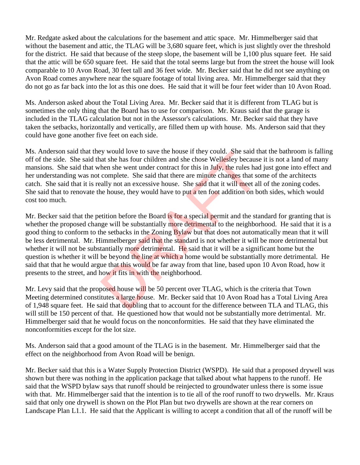Mr. Redgate asked about the calculations for the basement and attic space. Mr. Himmelberger said that without the basement and attic, the TLAG will be 3,680 square feet, which is just slightly over the threshold for the district. He said that because of the steep slope, the basement will be 1,100 plus square feet. He said that the attic will be 650 square feet. He said that the total seems large but from the street the house will look comparable to 10 Avon Road, 30 feet tall and 36 feet wide. Mr. Becker said that he did not see anything on Avon Road comes anywhere near the square footage of total living area. Mr. Himmelberger said that they do not go as far back into the lot as this one does. He said that it will be four feet wider than 10 Avon Road.

Ms. Anderson asked about the Total Living Area. Mr. Becker said that it is different from TLAG but is sometimes the only thing that the Board has to use for comparison. Mr. Kraus said that the garage is included in the TLAG calculation but not in the Assessor's calculations. Mr. Becker said that they have taken the setbacks, horizontally and vertically, are filled them up with house. Ms. Anderson said that they could have gone another five feet on each side.

Ms. Anderson said that they would love to save the house if they could. She said that the bathroom is falling off of the side. She said that she has four children and she chose Wellesley because it is not a land of many mansions. She said that when she went under contract for this in July, the rules had just gone into effect and her understanding was not complete. She said that there are minute changes that some of the architects catch. She said that it is really not an excessive house. She said that it will meet all of the zoning codes. She said that to renovate the house, they would have to put a ten foot addition on both sides, which would cost too much.

Mr. Becker said that the petition before the Board is for a special permit and the standard for granting that is whether the proposed change will be substantially more detrimental to the neighborhood. He said that it is a good thing to conform to the setbacks in the Zoning Bylaw but that does not automatically mean that it will be less detrimental. Mr. Himmelberger said that the standard is not whether it will be more detrimental but whether it will not be substantially more detrimental. He said that it will be a significant home but the question is whether it will be beyond the line at which a home would be substantially more detrimental. He said that that he would argue that this would be far away from that line, based upon 10 Avon Road, how it presents to the street, and how it fits in with the neighborhood. by would love to save the nouse if they could. She said that she has four children and she chose Wellesley because<br>hen she went under contract for this in July, the rules had complete. She said that there are minute change

Mr. Levy said that the proposed house will be 50 percent over TLAG, which is the criteria that Town Meeting determined constitutes a large house. Mr. Becker said that 10 Avon Road has a Total Living Area of 1,948 square feet. He said that doubling that to account for the difference between TLA and TLAG, this will still be 150 percent of that. He questioned how that would not be substantially more detrimental. Mr. Himmelberger said that he would focus on the nonconformities. He said that they have eliminated the nonconformities except for the lot size.

Ms. Anderson said that a good amount of the TLAG is in the basement. Mr. Himmelberger said that the effect on the neighborhood from Avon Road will be benign.

Mr. Becker said that this is a Water Supply Protection District (WSPD). He said that a proposed drywell was shown but there was nothing in the application package that talked about what happens to the runoff. He said that the WSPD bylaw says that runoff should be reinjected to groundwater unless there is some issue with that. Mr. Himmelberger said that the intention is to tie all of the roof runoff to two drywells. Mr. Kraus said that only one drywell is shown on the Plot Plan but two drywells are shown at the rear corners on Landscape Plan L1.1. He said that the Applicant is willing to accept a condition that all of the runoff will be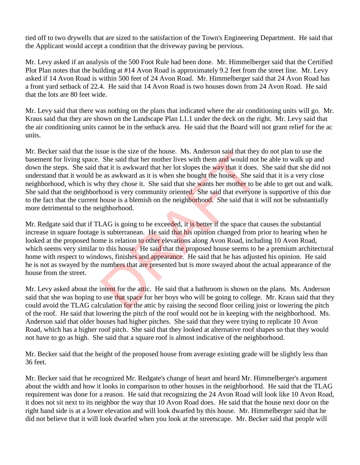tied off to two drywells that are sized to the satisfaction of the Town's Engineering Department. He said that the Applicant would accept a condition that the driveway paving be pervious.

Mr. Levy asked if an analysis of the 500 Foot Rule had been done. Mr. Himmelberger said that the Certified Plot Plan notes that the building at #14 Avon Road is approximately 9.2 feet from the street line. Mr. Levy asked if 14 Avon Road is within 500 feet of 24 Avon Road. Mr. Himmelberger said that 24 Avon Road has a front yard setback of 22.4. He said that 14 Avon Road is two houses down from 24 Avon Road. He said that the lots are 80 feet wide.

Mr. Levy said that there was nothing on the plans that indicated where the air conditioning units will go. Mr. Kraus said that they are shown on the Landscape Plan L1.1 under the deck on the right. Mr. Levy said that the air conditioning units cannot be in the setback area. He said that the Board will not grant relief for the ac units.

Mr. Becker said that the issue is the size of the house. Ms. Anderson said that they do not plan to use the basement for living space. She said that her mother lives with them and would not be able to walk up and down the steps. She said that it is awkward that her lot slopes the way that it does. She said that she did not understand that it would be as awkward as it is when she bought the house. She said that it is a very close neighborhood, which is why they chose it. She said that she wants her mother to be able to get out and walk. She said that the neighborhood is very community oriented. She said that everyone is supportive of this due to the fact that the current house is a blemish on the neighborhood. She said that it will not be substantially more detrimental to the neighborhood. sue is the size of the nouse. Ms. Anderson said that they<br>She said that her mother lives with them and would not<br>hat it is awkward that her lot slopes the **way that** it does.<br>as a wkward as it is when she bought the house.

Mr. Redgate said that if TLAG is going to be exceeded, it is better if the space that causes the substantial increase in square footage is subterranean. He said that his opinion changed from prior to hearing when he looked at the proposed home is relation to other elevations along Avon Road, including 10 Avon Road, which seems very similar to this house. He said that the proposed house seems to be a premium architectural home with respect to windows, finishes and appearance. He said that he has adjusted his opinion. He said he is not as swayed by the numbers that are presented but is more swayed about the actual appearance of the house from the street.

Mr. Levy asked about the intent for the attic. He said that a bathroom is shown on the plans. Ms. Anderson said that she was hoping to use that space for her boys who will be going to college. Mr. Kraus said that they could avoid the TLAG calculation for the attic by raising the second floor ceiling joist or lowering the pitch of the roof. He said that lowering the pitch of the roof would not be in keeping with the neighborhood. Ms. Anderson said that older houses had higher pitches. She said that they were trying to replicate 10 Avon Road, which has a higher roof pitch. She said that they looked at alternative roof shapes so that they would not have to go as high. She said that a square roof is almost indicative of the neighborhood.

Mr. Becker said that the height of the proposed house from average existing grade will be slightly less than 36 feet.

Mr. Becker said that he recognized Mr. Redgate's change of heart and heard Mr. Himmelberger's argument about the width and how it looks in comparison to other houses in the neighborhood. He said that the TLAG requirement was done for a reason. He said that recognizing the 24 Avon Road will look like 10 Avon Road, it does not sit next to its neighbor the way that 10 Avon Road does. He said that the house next door on the right hand side is at a lower elevation and will look dwarfed by this house. Mr. Himmelberger said that he did not believe that it will look dwarfed when you look at the streetscape. Mr. Becker said that people will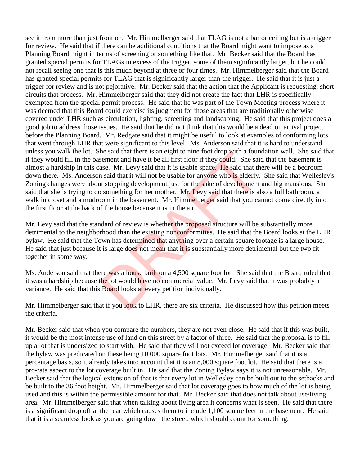see it from more than just front on. Mr. Himmelberger said that TLAG is not a bar or ceiling but is a trigger for review. He said that if there can be additional conditions that the Board might want to impose as a Planning Board might in terms of screening or something like that. Mr. Becker said that the Board has granted special permits for TLAGs in excess of the trigger, some of them significantly larger, but he could not recall seeing one that is this much beyond at three or four times. Mr. Himmelberger said that the Board has granted special permits for TLAG that is significantly larger than the trigger. He said that it is just a trigger for review and is not pejorative. Mr. Becker said that the action that the Applicant is requesting, short circuits that process. Mr. Himmelberger said that they did not create the fact that LHR is specifically exempted from the special permit process. He said that he was part of the Town Meeting process where it was deemed that this Board could exercise its judgment for those areas that are traditionally otherwise covered under LHR such as circulation, lighting, screening and landscaping. He said that this project does a good job to address those issues. He said that he did not think that this would be a dead on arrival project before the Planning Board. Mr. Redgate said that it might be useful to look at examples of conforming lots that went through LHR that were significant to this level. Ms. Anderson said that it is hard to understand unless you walk the lot. She said that there is an eight to nine foot drop with a foundation wall. She said that if they would fill in the basement and have it be all first floor if they could. She said that the basement is almost a hardship in this case. Mr. Levy said that it is usable space. He said that there will be a bedroom down there. Ms. Anderson said that it will not be usable for anyone who is elderly. She said that Wellesley's Zoning changes were about stopping development just for the sake of development and big mansions. She said that she is trying to do something for her mother. Mr. Levy said that there is also a full bathroom, a walk in closet and a mudroom in the basement. Mr. Himmelberger said that you cannot come directly into the first floor at the back of the house because it is in the air. he said that there is an eight to nine foot drop with a found<br>sement and have it be all first floor if they could. She said<br>asse. Mr. Levy said that it is usable space. He said that th<br>is and that it will not be usable for

Mr. Levy said that the standard of review is whether the proposed structure will be substantially more detrimental to the neighborhood than the existing nonconformities. He said that the Board looks at the LHR bylaw. He said that the Town has determined that anything over a certain square footage is a large house. He said that just because it is large does not mean that it is substantially more detrimental but the two fit together in some way.

Ms. Anderson said that there was a house built on a 4,500 square foot lot. She said that the Board ruled that it was a hardship because the lot would have no commercial value. Mr. Levy said that it was probably a variance. He said that this Board looks at every petition individually.

Mr. Himmelberger said that if you look to LHR, there are six criteria. He discussed how this petition meets the criteria.

Mr. Becker said that when you compare the numbers, they are not even close. He said that if this was built, it would be the most intense use of land on this street by a factor of three. He said that the proposal is to fill up a lot that is undersized to start with. He said that they will not exceed lot coverage. Mr. Becker said that the bylaw was predicated on these being 10,000 square foot lots. Mr. Himmelberger said that it is a percentage basis, so it already takes into account that it is an 8,000 square foot lot. He said that there is a pro-rata aspect to the lot coverage built in. He said that the Zoning Bylaw says it is not unreasonable. Mr. Becker said that the logical extension of that is that every lot in Wellesley can be built out to the setbacks and be built to the 36 foot height. Mr. Himmelberger said that lot coverage goes to how much of the lot is being used and this is within the permissible amount for that. Mr. Becker said that does not talk about use/living area. Mr. Himmelberger said that when talking about living area it concerns what is seen. He said that there is a significant drop off at the rear which causes them to include 1,100 square feet in the basement. He said that it is a seamless look as you are going down the street, which should count for something.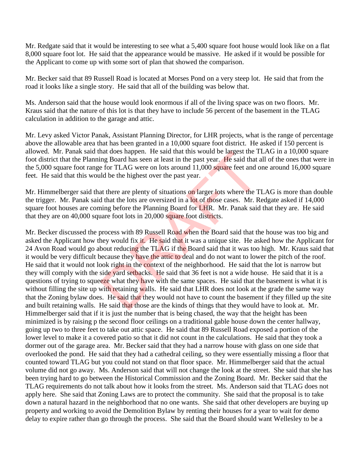Mr. Redgate said that it would be interesting to see what a 5,400 square foot house would look like on a flat 8,000 square foot lot. He said that the appearance would be massive. He asked if it would be possible for the Applicant to come up with some sort of plan that showed the comparison.

Mr. Becker said that 89 Russell Road is located at Morses Pond on a very steep lot. He said that from the road it looks like a single story. He said that all of the building was below that.

Ms. Anderson said that the house would look enormous if all of the living space was on two floors. Mr. Kraus said that the nature of this lot is that they have to include 56 percent of the basement in the TLAG calculation in addition to the garage and attic.

Mr. Levy asked Victor Panak, Assistant Planning Director, for LHR projects, what is the range of percentage above the allowable area that has been granted in a 10,000 square foot district. He asked if 150 percent is allowed. Mr. Panak said that does happen. He said that this would be largest the TLAG in a 10,000 square foot district that the Planning Board has seen at least in the past year. He said that all of the ones that were in the 5,000 square foot range for TLAG were on lots around 11,000 square feet and one around 16,000 square feet. He said that this would be the highest over the past year.

Mr. Himmelberger said that there are plenty of situations on larger lots where the TLAG is more than double the trigger. Mr. Panak said that the lots are oversized in a lot of those cases. Mr. Redgate asked if 14,000 square foot houses are coming before the Planning Board for LHR. Mr. Panak said that they are. He said that they are on 40,000 square foot lots in 20,000 square foot districts.

Mr. Becker discussed the process with 89 Russell Road when the Board said that the house was too big and asked the Applicant how they would fix it. He said that it was a unique site. He asked how the Applicant for 24 Avon Road would go about reducing the TLAG if the Board said that it was too high. Mr. Kraus said that it would be very difficult because they have the attic to deal and do not want to lower the pitch of the roof. He said that it would not look right in the context of the neighborhood. He said that the lot is narrow but they will comply with the side yard setbacks. He said that 36 feet is not a wide house. He said that it is a questions of trying to squeeze what they have with the same spaces. He said that the basement is what it is without filling the site up with retaining walls. He said that LHR does not look at the grade the same way that the Zoning bylaw does. He said that they would not have to count the basement if they filled up the site and built retaining walls. He said that those are the kinds of things that they would have to look at. Mr. Himmelberger said that if it is just the number that is being chased, the way that the height has been minimized is by raising p the second floor ceilings on a traditional gable house down the center hallway, going up two to three feet to take out attic space. He said that 89 Russell Road exposed a portion of the lower level to make it a covered patio so that it did not count in the calculations. He said that they took a dormer out of the garage area. Mr. Becker said that they had a narrow house with glass on one side that overlooked the pond. He said that they had a cathedral ceiling, so they were essentially missing a floor that counted toward TLAG but you could not stand on that floor space. Mr. Himmelberger said that the actual volume did not go away. Ms. Anderson said that will not change the look at the street. She said that she has been trying hard to go between the Historical Commission and the Zoning Board. Mr. Becker said that the TLAG requirements do not talk about how it looks from the street. Ms. Anderson said that TLAG does not apply here. She said that Zoning Laws are to protect the community. She said that the proposal is to take down a natural hazard in the neighborhood that no one wants. She said that other developers are buying up property and working to avoid the Demolition Bylaw by renting their houses for a year to wait for demo delay to expire rather than go through the process. She said that the Board should want Wellesley to be a nat does nappen. He said that this would be largest the 1<br>ng Board has seen at least in the past year. He said that a<br>for TLAG were on lots around 11,000 square feet and c<br>ld be the highest over the past year.<br>at there are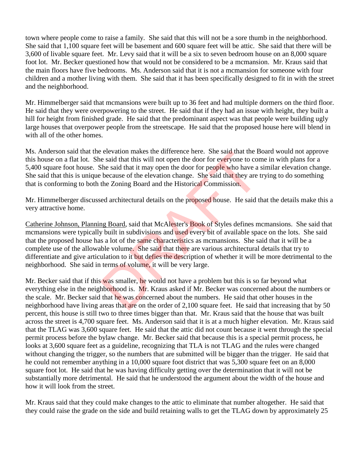town where people come to raise a family. She said that this will not be a sore thumb in the neighborhood. She said that 1,100 square feet will be basement and 600 square feet will be attic. She said that there will be 3,600 of livable square feet. Mr. Levy said that it will be a six to seven bedroom house on an 8,000 square foot lot. Mr. Becker questioned how that would not be considered to be a mcmansion. Mr. Kraus said that the main floors have five bedrooms. Ms. Anderson said that it is not a mcmansion for someone with four children and a mother living with them. She said that it has been specifically designed to fit in with the street and the neighborhood.

Mr. Himmelberger said that mcmansions were built up to 36 feet and had multiple dormers on the third floor. He said that they were overpowering to the street. He said that if they had an issue with height, they built a hill for height from finished grade. He said that the predominant aspect was that people were building ugly large houses that overpower people from the streetscape. He said that the proposed house here will blend in with all of the other homes.

Ms. Anderson said that the elevation makes the difference here. She said that the Board would not approve this house on a flat lot. She said that this will not open the door for everyone to come in with plans for a 5,400 square foot house. She said that it may open the door for people who have a similar elevation change. She said that this is unique because of the elevation change. She said that they are trying to do something that is conforming to both the Zoning Board and the Historical Commission.

Mr. Himmelberger discussed architectural details on the proposed house. He said that the details make this a very attractive home.

Catherine Johnson, Planning Board, said that McAlester's Book of Styles defines mcmansions. She said that mcmansions were typically built in subdivisions and used every bit of available space on the lots. She said that the proposed house has a lot of the same characteristics as mcmansions. She said that it will be a complete use of the allowable volume. She said that there are various architectural details that try to differentiate and give articulation to it but defies the description of whether it will be more detrimental to the neighborhood. She said in terms of volume, it will be very large. elevation makes the difference here. She said that the B<br>e said that this will not open the door for everyone to cor<br>She said that it may open the door for people who have a<br>because of the elevation change. She said that t

Mr. Becker said that if this was smaller, he would not have a problem but this is so far beyond what everything else in the neighborhood is. Mr. Kraus asked if Mr. Becker was concerned about the numbers or the scale. Mr. Becker said that he was concerned about the numbers. He said that other houses in the neighborhood have living areas that are on the order of 2,100 square feet. He said that increasing that by 50 percent, this house is still two to three times bigger than that. Mr. Kraus said that the house that was built across the street is 4,700 square feet. Ms. Anderson said that it is at a much higher elevation. Mr. Kraus said that the TLAG was 3,600 square feet. He said that the attic did not count because it went through the special permit process before the bylaw change. Mr. Becker said that because this is a special permit process, he looks at 3,600 square feet as a guideline, recognizing that TLA is not TLAG and the rules were changed without changing the trigger, so the numbers that are submitted will be bigger than the trigger. He said that he could not remember anything in a 10,000 square foot district that was 5,300 square feet on an 8,000 square foot lot. He said that he was having difficulty getting over the determination that it will not be substantially more detrimental. He said that he understood the argument about the width of the house and how it will look from the street.

Mr. Kraus said that they could make changes to the attic to eliminate that number altogether. He said that they could raise the grade on the side and build retaining walls to get the TLAG down by approximately 25